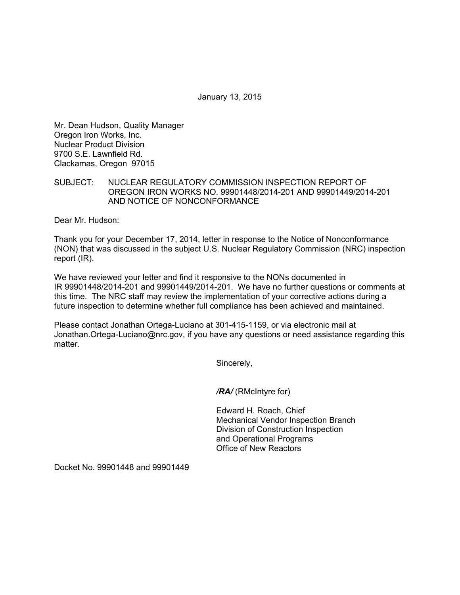January 13, 2015

Mr. Dean Hudson, Quality Manager Oregon Iron Works, Inc. Nuclear Product Division 9700 S.E. Lawnfield Rd. Clackamas, Oregon 97015

## SUBJECT: NUCLEAR REGULATORY COMMISSION INSPECTION REPORT OF OREGON IRON WORKS NO. 99901448/2014-201 AND 99901449/2014-201 AND NOTICE OF NONCONFORMANCE

Dear Mr. Hudson:

Thank you for your December 17, 2014, letter in response to the Notice of Nonconformance (NON) that was discussed in the subject U.S. Nuclear Regulatory Commission (NRC) inspection report (IR).

We have reviewed your letter and find it responsive to the NONs documented in IR 99901448/2014-201 and 99901449/2014-201. We have no further questions or comments at this time. The NRC staff may review the implementation of your corrective actions during a future inspection to determine whether full compliance has been achieved and maintained.

Please contact Jonathan Ortega-Luciano at 301-415-1159, or via electronic mail at Jonathan.Ortega-Luciano@nrc.gov, if you have any questions or need assistance regarding this matter.

Sincerely,

*/RA/* (RMcIntyre for)

Edward H. Roach, Chief Mechanical Vendor Inspection Branch Division of Construction Inspection and Operational Programs Office of New Reactors

Docket No. 99901448 and 99901449